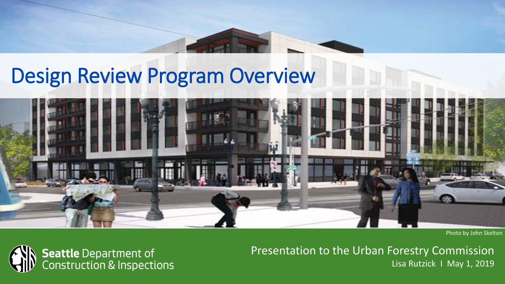# Design Review Program Overview



Photo by John Skelton



Presentation to the Urban Forestry Commission Lisa Rutzick I May 1, 2019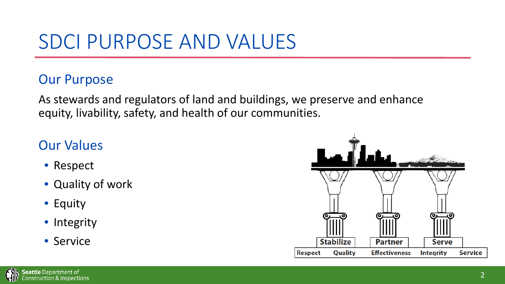## SDCI PURPOSE AND VALUES

### Our Purpose

As stewards and regulators of land and buildings, we preserve and enhance equity, livability, safety, and health of our communities.

### Our Values

- Respect
- Quality of work
- Equity
- Integrity
- Service

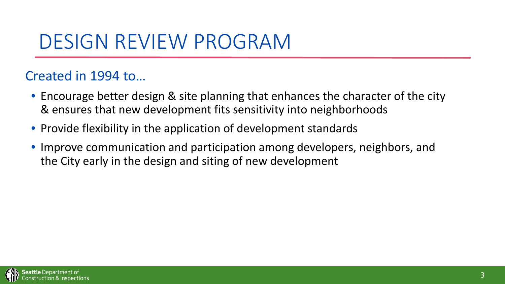### DESIGN REVIEW PROGRAM

### Created in 1994 to…

- Encourage better design & site planning that enhances the character of the city & ensures that new development fits sensitivity into neighborhoods
- Provide flexibility in the application of development standards
- Improve communication and participation among developers, neighbors, and the City early in the design and siting of new development

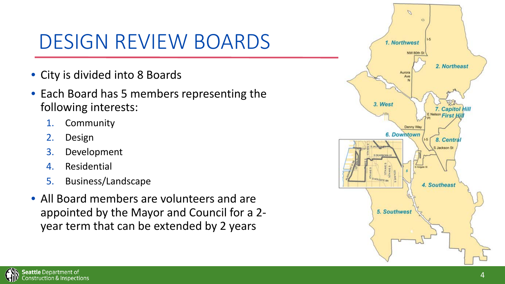## DESIGN REVIEW BOARDS

- City is divided into 8 Boards
- Each Board has 5 members representing the following interests:
	- 1. Community
	- 2. Design
	- 3. Development
	- 4. Residential
	- 5. Business/Landscape
- All Board members are volunteers and are appointed by the Mayor and Council for a 2 year term that can be extended by 2 years

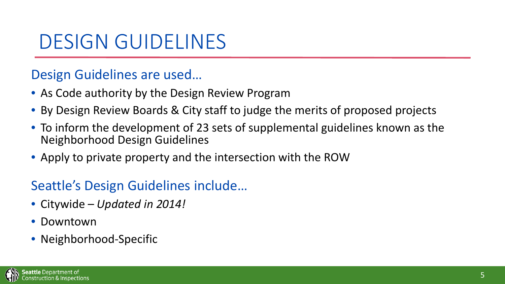### DESIGN GUIDELINES

### Design Guidelines are used…

- As Code authority by the Design Review Program
- By Design Review Boards & City staff to judge the merits of proposed projects
- To inform the development of 23 sets of supplemental guidelines known as the Neighborhood Design Guidelines
- Apply to private property and the intersection with the ROW

### Seattle's Design Guidelines include…

- Citywide *Updated in 2014!*
- Downtown
- Neighborhood-Specific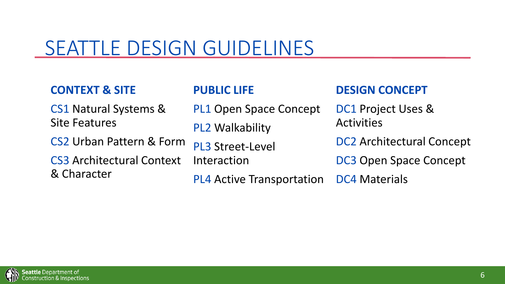## SEATTLE DESIGN GUIDELINES

#### **CONTEXT & SITE** CS1 Natural Systems & Site Features CS2 Urban Pattern & Form CS3 Architectural Context & Character **PUBLIC LIFE** PL1 Open Space Concept PL2 Walkability PL3 Street-Level Interaction PL4 Active Transportation **DESIGN CONCEPT** DC1 Project Uses & **Activities** DC2 Architectural Concept DC3 Open Space Concept DC4 Materials

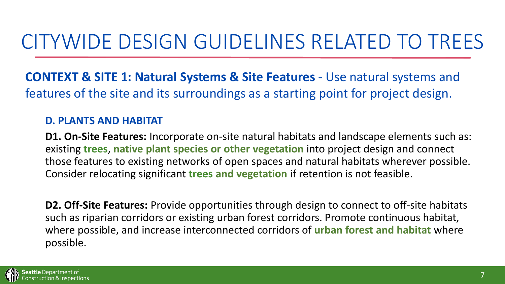**CONTEXT & SITE 1: Natural Systems & Site Features** - Use natural systems and features of the site and its surroundings as a starting point for project design.

#### **D. PLANTS AND HABITAT**

**D1. On-Site Features:** Incorporate on-site natural habitats and landscape elements such as: existing **trees**, **native plant species or other vegetation** into project design and connect those features to existing networks of open spaces and natural habitats wherever possible. Consider relocating significant **trees and vegetation** if retention is not feasible.

**D2. Off-Site Features:** Provide opportunities through design to connect to off-site habitats such as riparian corridors or existing urban forest corridors. Promote continuous habitat, where possible, and increase interconnected corridors of **urban forest and habitat** where possible.

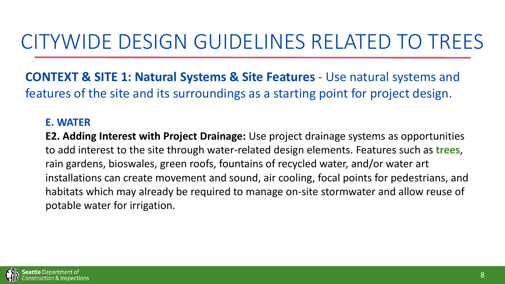**CONTEXT & SITE 1: Natural Systems & Site Features** - Use natural systems and features of the site and its surroundings as a starting point for project design.

#### **E. WATER**

**E2. Adding Interest with Project Drainage:** Use project drainage systems as opportunities to add interest to the site through water-related design elements. Features such as **trees**, rain gardens, bioswales, green roofs, fountains of recycled water, and/or water art installations can create movement and sound, air cooling, focal points for pedestrians, and habitats which may already be required to manage on-site stormwater and allow reuse of potable water for irrigation.

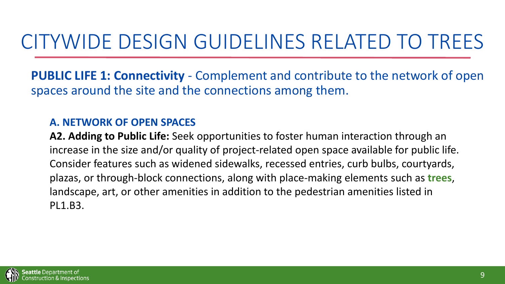**PUBLIC LIFE 1: Connectivity** - Complement and contribute to the network of open spaces around the site and the connections among them.

#### **A. NETWORK OF OPEN SPACES**

**A2. Adding to Public Life:** Seek opportunities to foster human interaction through an increase in the size and/or quality of project-related open space available for public life. Consider features such as widened sidewalks, recessed entries, curb bulbs, courtyards, plazas, or through-block connections, along with place-making elements such as **trees**, landscape, art, or other amenities in addition to the pedestrian amenities listed in PL1.B3.

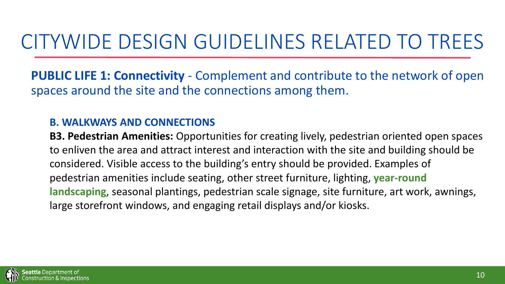**PUBLIC LIFE 1: Connectivity** - Complement and contribute to the network of open spaces around the site and the connections among them.

#### **B. WALKWAYS AND CONNECTIONS**

**B3. Pedestrian Amenities:** Opportunities for creating lively, pedestrian oriented open spaces to enliven the area and attract interest and interaction with the site and building should be considered. Visible access to the building's entry should be provided. Examples of pedestrian amenities include seating, other street furniture, lighting, **year-round landscaping**, seasonal plantings, pedestrian scale signage, site furniture, art work, awnings, large storefront windows, and engaging retail displays and/or kiosks.

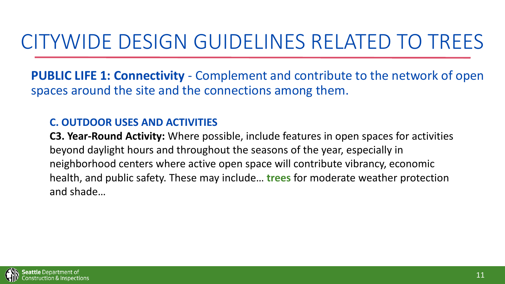**PUBLIC LIFE 1: Connectivity** - Complement and contribute to the network of open spaces around the site and the connections among them.

#### **C. OUTDOOR USES AND ACTIVITIES**

**C3. Year-Round Activity:** Where possible, include features in open spaces for activities beyond daylight hours and throughout the seasons of the year, especially in neighborhood centers where active open space will contribute vibrancy, economic health, and public safety. These may include… **trees** for moderate weather protection and shade…

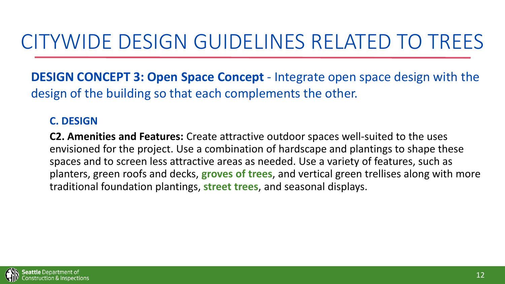**DESIGN CONCEPT 3: Open Space Concept** - Integrate open space design with the design of the building so that each complements the other.

#### **C. DESIGN**

**C2. Amenities and Features:** Create attractive outdoor spaces well-suited to the uses envisioned for the project. Use a combination of hardscape and plantings to shape these spaces and to screen less attractive areas as needed. Use a variety of features, such as planters, green roofs and decks, **groves of trees**, and vertical green trellises along with more traditional foundation plantings, **street trees**, and seasonal displays.

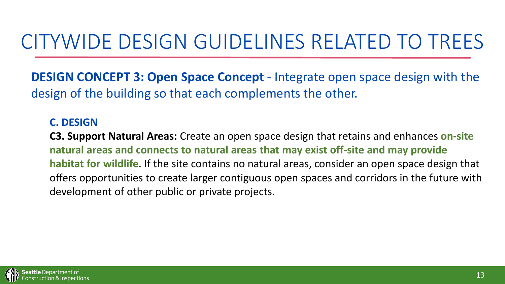**DESIGN CONCEPT 3: Open Space Concept** - Integrate open space design with the design of the building so that each complements the other.

#### **C. DESIGN**

**C3. Support Natural Areas:** Create an open space design that retains and enhances **on-site natural areas and connects to natural areas that may exist off-site and may provide habitat for wildlife**. If the site contains no natural areas, consider an open space design that offers opportunities to create larger contiguous open spaces and corridors in the future with development of other public or private projects.

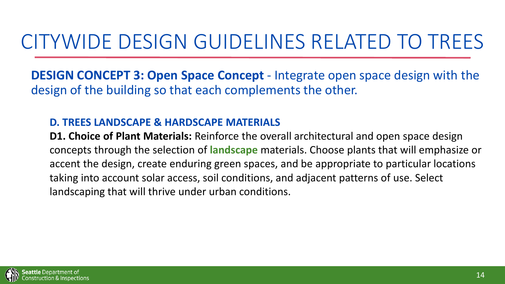**DESIGN CONCEPT 3: Open Space Concept** - Integrate open space design with the design of the building so that each complements the other.

#### **D. TREES LANDSCAPE & HARDSCAPE MATERIALS**

**D1. Choice of Plant Materials:** Reinforce the overall architectural and open space design concepts through the selection of **landscape** materials. Choose plants that will emphasize or accent the design, create enduring green spaces, and be appropriate to particular locations taking into account solar access, soil conditions, and adjacent patterns of use. Select landscaping that will thrive under urban conditions.

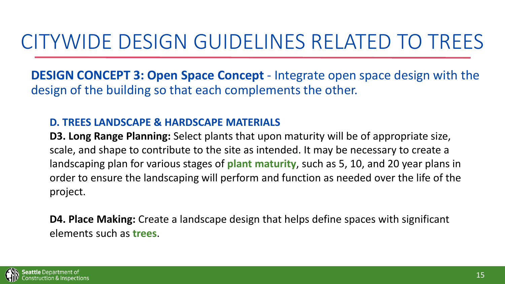**DESIGN CONCEPT 3: Open Space Concept** - Integrate open space design with the design of the building so that each complements the other.

#### **D. TREES LANDSCAPE & HARDSCAPE MATERIALS**

**D3. Long Range Planning:** Select plants that upon maturity will be of appropriate size, scale, and shape to contribute to the site as intended. It may be necessary to create a landscaping plan for various stages of **plant maturity**, such as 5, 10, and 20 year plans in order to ensure the landscaping will perform and function as needed over the life of the project.

**D4. Place Making:** Create a landscape design that helps define spaces with significant elements such as **trees**.

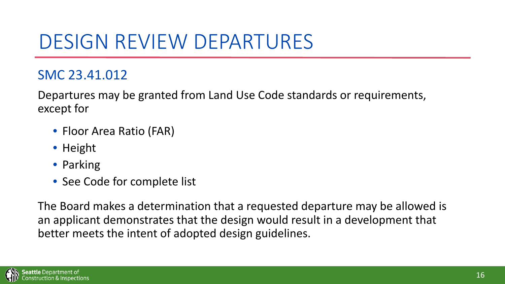### DESIGN REVIEW DEPARTURES

### SMC 23.41.012

Departures may be granted from Land Use Code standards or requirements, except for

- Floor Area Ratio (FAR)
- Height
- Parking
- See Code for complete list

The Board makes a determination that a requested departure may be allowed is an applicant demonstrates that the design would result in a development that better meets the intent of adopted design guidelines.

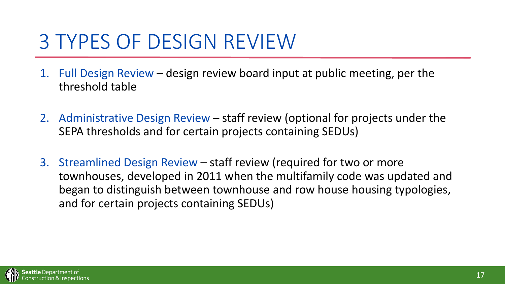### 3 TYPES OF DESIGN REVIEW

- 1. Full Design Review design review board input at public meeting, per the threshold table
- 2. Administrative Design Review staff review (optional for projects under the SEPA thresholds and for certain projects containing SEDUs)
- 3. Streamlined Design Review staff review (required for two or more townhouses, developed in 2011 when the multifamily code was updated and began to distinguish between townhouse and row house housing typologies, and for certain projects containing SEDUs)

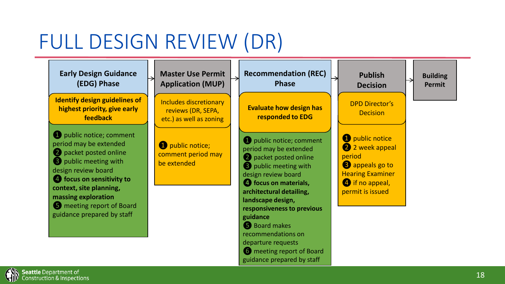## FULL DESIGN REVIEW (DR)

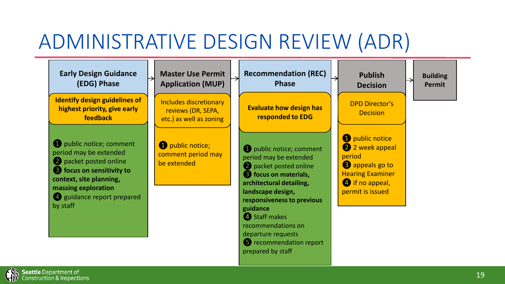## ADMINISTRATIVE DESIGN REVIEW (ADR)

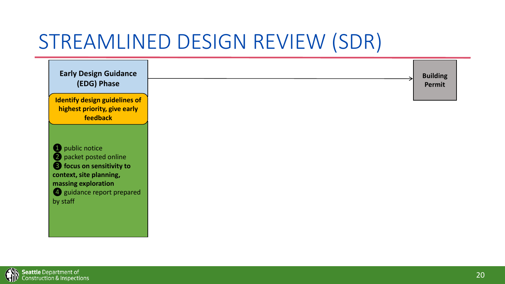## STREAMLINED DESIGN REVIEW (SDR)

| <b>Identify design guidelines of</b><br>highest priority, give early<br>feedback                                              |                            |
|-------------------------------------------------------------------------------------------------------------------------------|----------------------------|
|                                                                                                                               |                            |
| public notice<br>2 packet posted online<br><b>3</b> focus on sensitivity to<br>context, site planning,<br>massing exploration |                            |
|                                                                                                                               |                            |
|                                                                                                                               |                            |
|                                                                                                                               | 4 guidance report prepared |

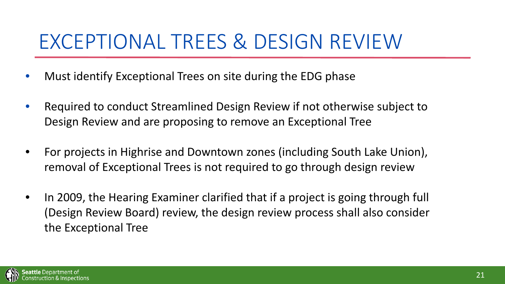### EXCEPTIONAL TREES & DESIGN REVIEW

- Must identify Exceptional Trees on site during the EDG phase
- Required to conduct Streamlined Design Review if not otherwise subject to Design Review and are proposing to remove an Exceptional Tree
- For projects in Highrise and Downtown zones (including South Lake Union), removal of Exceptional Trees is not required to go through design review
- In 2009, the Hearing Examiner clarified that if a project is going through full (Design Review Board) review, the design review process shall also consider the Exceptional Tree

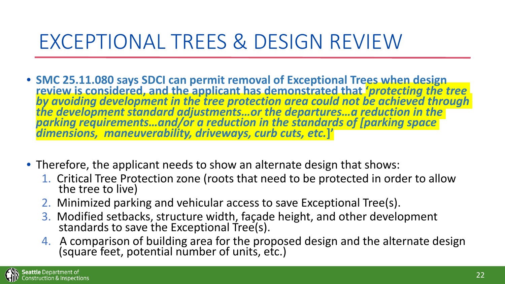## EXCEPTIONAL TREES & DESIGN REVIEW

- SMC 25.11.080 says SDCI can permit removal of Exceptional Trees when design<br>review is considered, and the applicant has demonstrated that *'protecting the tree*<br>by avoiding development in the tree protection area could n *the development standard adjustments…or the departures…a reduction in the parking requirements…and/or a reduction in the standards of [parking space dimensions, maneuverability, driveways, curb cuts, etc.***]'**
- Therefore, the applicant needs to show an alternate design that shows:
	- 1. Critical Tree Protection zone (roots that need to be protected in order to allow the tree to live)
	- 2. Minimized parking and vehicular access to save Exceptional Tree(s).
	- 3. Modified setbacks, structure width, façade height, and other development standards to save the Exceptional Tree(s).
	- 4. A comparison of building area for the proposed design and the alternate design (square feet, potential number of units, etc.)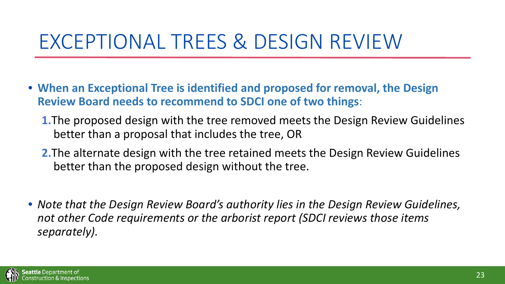### EXCEPTIONAL TREES & DESIGN REVIEW

- **When an Exceptional Tree is identified and proposed for removal, the Design Review Board needs to recommend to SDCI one of two things**:
	- **1.**The proposed design with the tree removed meets the Design Review Guidelines better than a proposal that includes the tree, OR
	- **2.**The alternate design with the tree retained meets the Design Review Guidelines better than the proposed design without the tree.
- *Note that the Design Review Board's authority lies in the Design Review Guidelines, not other Code requirements or the arborist report (SDCI reviews those items separately).*

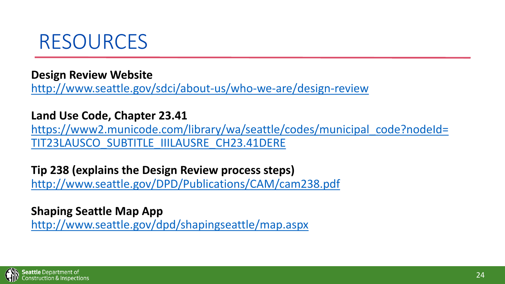

**Design Review Website**

<http://www.seattle.gov/sdci/about-us/who-we-are/design-review>

**Land Use Code, Chapter 23.41**

[https://www2.municode.com/library/wa/seattle/codes/municipal\\_code?nodeId=](https://www2.municode.com/library/wa/seattle/codes/municipal_code?nodeId=TIT23LAUSCO_SUBTITLE_IIILAUSRE_CH23.41DERE) TIT23LAUSCO\_SUBTITLE\_IIILAUSRE\_CH23.41DERE

**Tip 238 (explains the Design Review process steps)** <http://www.seattle.gov/DPD/Publications/CAM/cam238.pdf>

**Shaping Seattle Map App** <http://www.seattle.gov/dpd/shapingseattle/map.aspx>

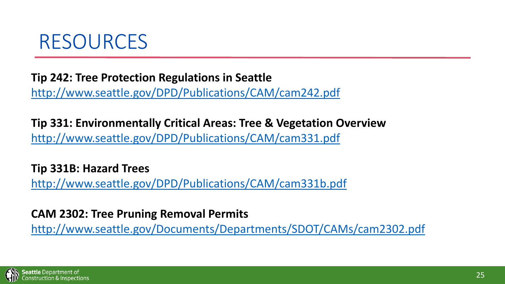

### **Tip 242: Tree Protection Regulations in Seattle**

<http://www.seattle.gov/DPD/Publications/CAM/cam242.pdf>

**Tip 331: Environmentally Critical Areas: Tree & Vegetation Overview** <http://www.seattle.gov/DPD/Publications/CAM/cam331.pdf>

**Tip 331B: Hazard Trees** <http://www.seattle.gov/DPD/Publications/CAM/cam331b.pdf>

#### **CAM 2302: Tree Pruning Removal Permits**

<http://www.seattle.gov/Documents/Departments/SDOT/CAMs/cam2302.pdf>

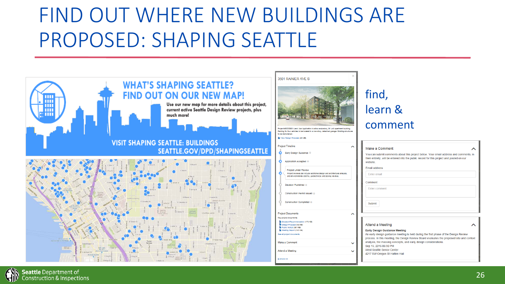## FIND OUT WHERE NEW BUILDINGS ARE PROPOSED: SHAPING SEATTLE